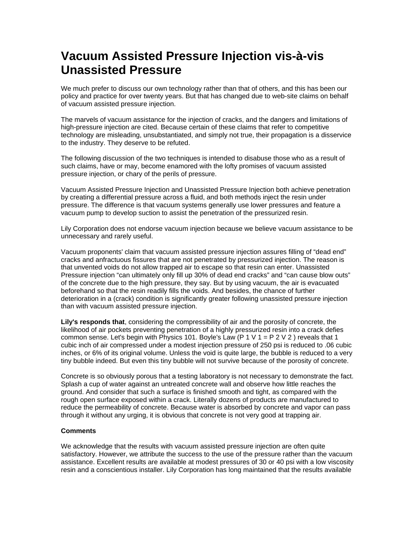## **Vacuum Assisted Pressure Injection vis-à-vis Unassisted Pressure**

We much prefer to discuss our own technology rather than that of others, and this has been our policy and practice for over twenty years. But that has changed due to web-site claims on behalf of vacuum assisted pressure injection.

The marvels of vacuum assistance for the injection of cracks, and the dangers and limitations of high-pressure injection are cited. Because certain of these claims that refer to competitive technology are misleading, unsubstantiated, and simply not true, their propagation is a disservice to the industry. They deserve to be refuted.

The following discussion of the two techniques is intended to disabuse those who as a result of such claims, have or may, become enamored with the lofty promises of vacuum assisted pressure injection, or chary of the perils of pressure.

Vacuum Assisted Pressure Injection and Unassisted Pressure Injection both achieve penetration by creating a differential pressure across a fluid, and both methods inject the resin under pressure. The difference is that vacuum systems generally use lower pressures and feature a vacuum pump to develop suction to assist the penetration of the pressurized resin.

Lily Corporation does not endorse vacuum injection because we believe vacuum assistance to be unnecessary and rarely useful.

Vacuum proponents' claim that vacuum assisted pressure injection assures filling of "dead end" cracks and anfractuous fissures that are not penetrated by pressurized injection. The reason is that unvented voids do not allow trapped air to escape so that resin can enter. Unassisted Pressure injection "can ultimately only fill up 30% of dead end cracks" and "can cause blow outs" of the concrete due to the high pressure, they say. But by using vacuum, the air is evacuated beforehand so that the resin readily fills the voids. And besides, the chance of further deterioration in a (crack) condition is significantly greater following unassisted pressure injection than with vacuum assisted pressure injection.

**Lily's responds that**, considering the compressibility of air and the porosity of concrete, the likelihood of air pockets preventing penetration of a highly pressurized resin into a crack defies common sense. Let's begin with Physics 101. Boyle's Law (P 1 V 1 =  $P$  2 V 2) reveals that 1 cubic inch of air compressed under a modest injection pressure of 250 psi is reduced to .06 cubic inches, or 6% of its original volume. Unless the void is quite large, the bubble is reduced to a very tiny bubble indeed. But even this tiny bubble will not survive because of the porosity of concrete.

Concrete is so obviously porous that a testing laboratory is not necessary to demonstrate the fact. Splash a cup of water against an untreated concrete wall and observe how little reaches the ground. And consider that such a surface is finished smooth and tight, as compared with the rough open surface exposed within a crack. Literally dozens of products are manufactured to reduce the permeability of concrete. Because water is absorbed by concrete and vapor can pass through it without any urging, it is obvious that concrete is not very good at trapping air.

## **Comments**

We acknowledge that the results with vacuum assisted pressure injection are often quite satisfactory. However, we attribute the success to the use of the pressure rather than the vacuum assistance. Excellent results are available at modest pressures of 30 or 40 psi with a low viscosity resin and a conscientious installer. Lily Corporation has long maintained that the results available